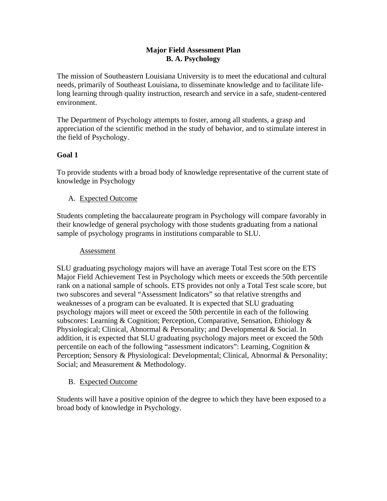## **Major Field Assessment Plan B. A. Psychology**

The mission of Southeastern Louisiana University is to meet the educational and cultural needs, primarily of Southeast Louisiana, to disseminate knowledge and to facilitate lifelong learning through quality instruction, research and service in a safe, student-centered environment.

The Department of Psychology attempts to foster, among all students, a grasp and appreciation of the scientific method in the study of behavior, and to stimulate interest in the field of Psychology.

# **Goal 1**

To provide students with a broad body of knowledge representative of the current state of knowledge in Psychology

## A. Expected Outcome

Students completing the baccalaureate program in Psychology will compare favorably in their knowledge of general psychology with those students graduating from a national sample of psychology programs in institutions comparable to SLU.

## Assessment

SLU graduating psychology majors will have an average Total Test score on the ETS Major Field Achievement Test in Psychology which meets or exceeds the 50th percentile rank on a national sample of schools. ETS provides not only a Total Test scale score, but two subscores and several "Assessment Indicators" so that relative strengths and weaknesses of a program can be evaluated. It is expected that SLU graduating psychology majors will meet or exceed the 50th percentile in each of the following subscores: Learning & Cognition; Perception, Comparative, Sensation, Ethiology & Physiological; Clinical, Abnormal & Personality; and Developmental & Social. In addition, it is expected that SLU graduating psychology majors meet or exceed the 50th percentile on each of the following "assessment indicators": Learning, Cognition & Perception; Sensory & Physiological: Developmental; Clinical, Abnormal & Personality; Social; and Measurement & Methodology.

# B. Expected Outcome

Students will have a positive opinion of the degree to which they have been exposed to a broad body of knowledge in Psychology.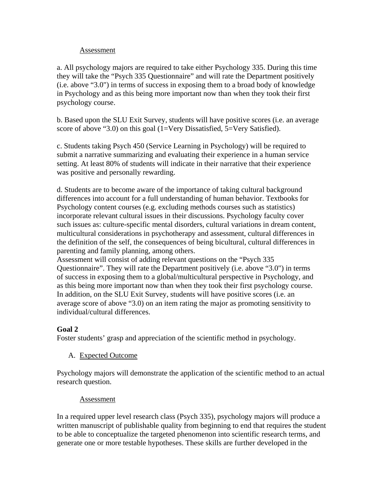#### Assessment

a. All psychology majors are required to take either Psychology 335. During this time they will take the "Psych 335 Questionnaire" and will rate the Department positively (i.e. above "3.0") in terms of success in exposing them to a broad body of knowledge in Psychology and as this being more important now than when they took their first psychology course.

b. Based upon the SLU Exit Survey, students will have positive scores (i.e. an average score of above "3.0) on this goal (1=Very Dissatisfied, 5=Very Satisfied).

c. Students taking Psych 450 (Service Learning in Psychology) will be required to submit a narrative summarizing and evaluating their experience in a human service setting. At least 80% of students will indicate in their narrative that their experience was positive and personally rewarding.

d. Students are to become aware of the importance of taking cultural background differences into account for a full understanding of human behavior. Textbooks for Psychology content courses (e.g. excluding methods courses such as statistics) incorporate relevant cultural issues in their discussions. Psychology faculty cover such issues as: culture-specific mental disorders, cultural variations in dream content, multicultural considerations in psychotherapy and assessment, cultural differences in the definition of the self, the consequences of being bicultural, cultural differences in parenting and family planning, among others.

Assessment will consist of adding relevant questions on the "Psych 335 Questionnaire". They will rate the Department positively (i.e. above "3.0") in terms of success in exposing them to a global/multicultural perspective in Psychology, and as this being more important now than when they took their first psychology course. In addition, on the SLU Exit Survey, students will have positive scores (i.e. an average score of above "3.0) on an item rating the major as promoting sensitivity to individual/cultural differences.

## **Goal 2**

Foster students' grasp and appreciation of the scientific method in psychology.

A. Expected Outcome

Psychology majors will demonstrate the application of the scientific method to an actual research question.

#### Assessment

In a required upper level research class (Psych 335), psychology majors will produce a written manuscript of publishable quality from beginning to end that requires the student to be able to conceptualize the targeted phenomenon into scientific research terms, and generate one or more testable hypotheses. These skills are further developed in the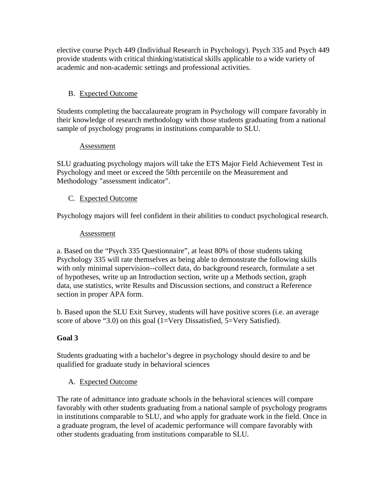elective course Psych 449 (Individual Research in Psychology). Psych 335 and Psych 449 provide students with critical thinking/statistical skills applicable to a wide variety of academic and non-academic settings and professional activities.

# B. Expected Outcome

Students completing the baccalaureate program in Psychology will compare favorably in their knowledge of research methodology with those students graduating from a national sample of psychology programs in institutions comparable to SLU.

#### Assessment

SLU graduating psychology majors will take the ETS Major Field Achievement Test in Psychology and meet or exceed the 50th percentile on the Measurement and Methodology "assessment indicator".

## C. Expected Outcome

Psychology majors will feel confident in their abilities to conduct psychological research.

## Assessment

a. Based on the "Psych 335 Questionnaire", at least 80% of those students taking Psychology 335 will rate themselves as being able to demonstrate the following skills with only minimal supervision--collect data, do background research, formulate a set of hypotheses, write up an Introduction section, write up a Methods section, graph data, use statistics, write Results and Discussion sections, and construct a Reference section in proper APA form.

b. Based upon the SLU Exit Survey, students will have positive scores (i.e. an average score of above "3.0) on this goal (1=Very Dissatisfied, 5=Very Satisfied).

## **Goal 3**

Students graduating with a bachelor's degree in psychology should desire to and be qualified for graduate study in behavioral sciences

## A. Expected Outcome

The rate of admittance into graduate schools in the behavioral sciences will compare favorably with other students graduating from a national sample of psychology programs in institutions comparable to SLU, and who apply for graduate work in the field. Once in a graduate program, the level of academic performance will compare favorably with other students graduating from institutions comparable to SLU.